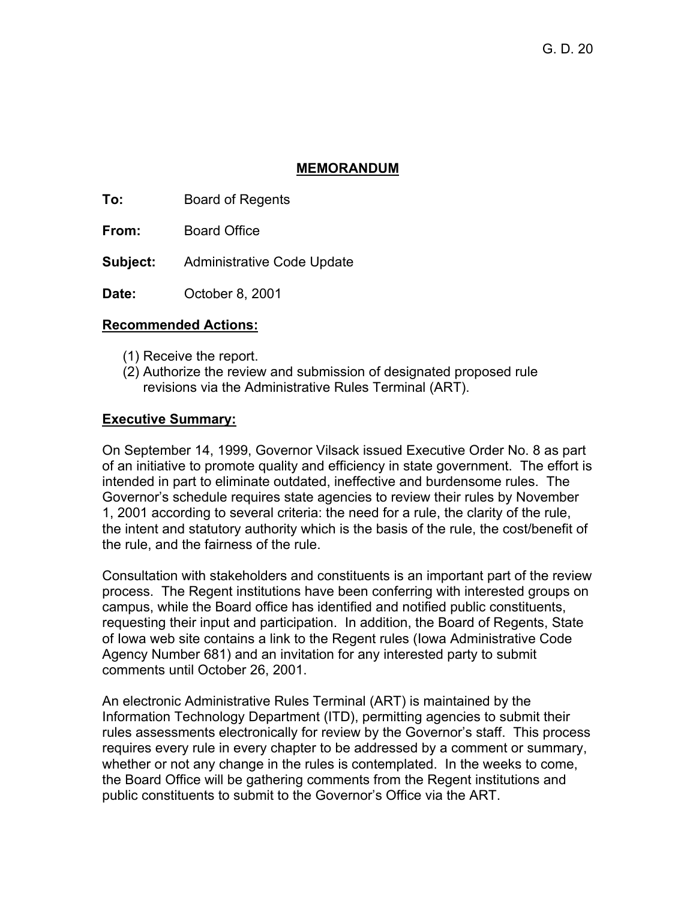## **MEMORANDUM**

**To:** Board of Regents

**From:** Board Office

**Subject:** Administrative Code Update

**Date:** October 8, 2001

## **Recommended Actions:**

- (1) Receive the report.
- (2) Authorize the review and submission of designated proposed rule revisions via the Administrative Rules Terminal (ART).

## **Executive Summary:**

On September 14, 1999, Governor Vilsack issued Executive Order No. 8 as part of an initiative to promote quality and efficiency in state government. The effort is intended in part to eliminate outdated, ineffective and burdensome rules. The Governor's schedule requires state agencies to review their rules by November 1, 2001 according to several criteria: the need for a rule, the clarity of the rule, the intent and statutory authority which is the basis of the rule, the cost/benefit of the rule, and the fairness of the rule.

Consultation with stakeholders and constituents is an important part of the review process. The Regent institutions have been conferring with interested groups on campus, while the Board office has identified and notified public constituents, requesting their input and participation. In addition, the Board of Regents, State of Iowa web site contains a link to the Regent rules (Iowa Administrative Code Agency Number 681) and an invitation for any interested party to submit comments until October 26, 2001.

An electronic Administrative Rules Terminal (ART) is maintained by the Information Technology Department (ITD), permitting agencies to submit their rules assessments electronically for review by the Governor's staff. This process requires every rule in every chapter to be addressed by a comment or summary, whether or not any change in the rules is contemplated. In the weeks to come, the Board Office will be gathering comments from the Regent institutions and public constituents to submit to the Governor's Office via the ART.